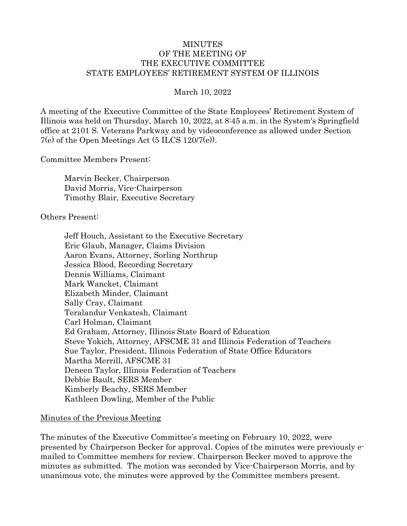#### MINUTES OF THE MEETING OF THE EXECUTIVE COMMITTEE STATE EMPLOYEES' RETIREMENT SYSTEM OF ILLINOIS

March 10, 2022

A meeting of the Executive Committee of the State Employees' Retirement System of Illinois was held on Thursday, March 10, 2022, at 8:45 a.m. in the System's Springfield office at 2101 S. Veterans Parkway and by videoconference as allowed under Section 7(e) of the Open Meetings Act (5 ILCS 120/7(e)).

Committee Members Present:

Marvin Becker, Chairperson David Morris, Vice-Chairperson Timothy Blair, Executive Secretary

Others Present:

Jeff Houch, Assistant to the Executive Secretary Eric Glaub, Manager, Claims Division Aaron Evans, Attorney, Sorling Northrup Jessica Blood, Recording Secretary Dennis Williams, Claimant Mark Wancket, Claimant Elizabeth Minder, Claimant Sally Cray, Claimant Teralandur Venkatesh, Claimant Carl Holman, Claimant Ed Graham, Attorney, Illinois State Board of Education Steve Yokich, Attorney, AFSCME 31 and Illinois Federation of Teachers Sue Taylor, President, Illinois Federation of State Office Educators Martha Merrill, AFSCME 31 Deneen Taylor, Illinois Federation of Teachers Debbie Bault, SERS Member Kimberly Beachy, SERS Member Kathleen Dowling, Member of the Public

#### Minutes of the Previous Meeting

The minutes of the Executive Committee's meeting on February 10, 2022, were presented by Chairperson Becker for approval. Copies of the minutes were previously emailed to Committee members for review. Chairperson Becker moved to approve the minutes as submitted. The motion was seconded by Vice-Chairperson Morris, and by unanimous vote, the minutes were approved by the Committee members present.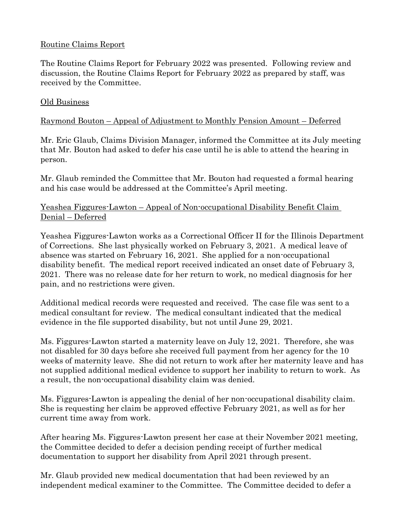### Routine Claims Report

The Routine Claims Report for February 2022 was presented. Following review and discussion, the Routine Claims Report for February 2022 as prepared by staff, was received by the Committee.

#### Old Business

### Raymond Bouton – Appeal of Adjustment to Monthly Pension Amount – Deferred

Mr. Eric Glaub, Claims Division Manager, informed the Committee at its July meeting that Mr. Bouton had asked to defer his case until he is able to attend the hearing in person.

Mr. Glaub reminded the Committee that Mr. Bouton had requested a formal hearing and his case would be addressed at the Committee's April meeting.

### Yeashea Figgures-Lawton – Appeal of Non-occupational Disability Benefit Claim Denial – Deferred

Yeashea Figgures-Lawton works as a Correctional Officer II for the Illinois Department of Corrections. She last physically worked on February 3, 2021. A medical leave of absence was started on February 16, 2021. She applied for a non-occupational disability benefit. The medical report received indicated an onset date of February 3, 2021. There was no release date for her return to work, no medical diagnosis for her pain, and no restrictions were given.

Additional medical records were requested and received. The case file was sent to a medical consultant for review. The medical consultant indicated that the medical evidence in the file supported disability, but not until June 29, 2021.

Ms. Figgures-Lawton started a maternity leave on July 12, 2021. Therefore, she was not disabled for 30 days before she received full payment from her agency for the 10 weeks of maternity leave. She did not return to work after her maternity leave and has not supplied additional medical evidence to support her inability to return to work. As a result, the non-occupational disability claim was denied.

Ms. Figgures-Lawton is appealing the denial of her non-occupational disability claim. She is requesting her claim be approved effective February 2021, as well as for her current time away from work.

After hearing Ms. Figgures-Lawton present her case at their November 2021 meeting, the Committee decided to defer a decision pending receipt of further medical documentation to support her disability from April 2021 through present.

Mr. Glaub provided new medical documentation that had been reviewed by an independent medical examiner to the Committee. The Committee decided to defer a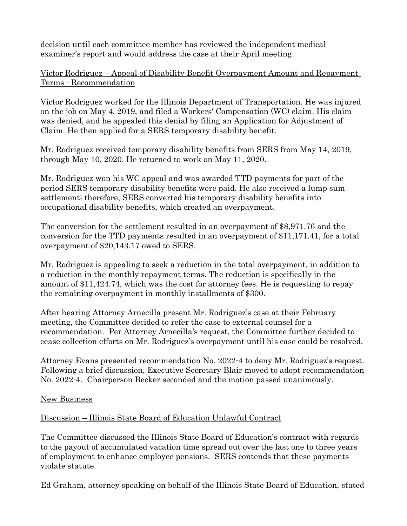decision until each committee member has reviewed the independent medical examiner's report and would address the case at their April meeting.

Victor Rodriguez – Appeal of Disability Benefit Overpayment Amount and Repayment Terms - Recommendation

Victor Rodriguez worked for the Illinois Department of Transportation. He was injured on the job on May 4, 2019, and filed a Workers' Compensation (WC) claim. His claim was denied, and he appealed this denial by filing an Application for Adjustment of Claim. He then applied for a SERS temporary disability benefit.

Mr. Rodriguez received temporary disability benefits from SERS from May 14, 2019, through May 10, 2020. He returned to work on May 11, 2020.

Mr. Rodriguez won his WC appeal and was awarded TTD payments for part of the period SERS temporary disability benefits were paid. He also received a lump sum settlement; therefore, SERS converted his temporary disability benefits into occupational disability benefits, which created an overpayment.

The conversion for the settlement resulted in an overpayment of \$8,971.76 and the conversion for the TTD payments resulted in an overpayment of \$11,171.41, for a total overpayment of \$20,143.17 owed to SERS.

Mr. Rodriguez is appealing to seek a reduction in the total overpayment, in addition to a reduction in the monthly repayment terms. The reduction is specifically in the amount of \$11,424.74, which was the cost for attorney fees. He is requesting to repay the remaining overpayment in monthly installments of \$300.

After hearing Attorney Arnecilla present Mr. Rodriguez's case at their February meeting, the Committee decided to refer the case to external counsel for a recommendation. Per Attorney Arnecilla's request, the Committee further decided to cease collection efforts on Mr. Rodriguez's overpayment until his case could be resolved.

Attorney Evans presented recommendation No. 2022-4 to deny Mr. Rodriguez's request. Following a brief discussion, Executive Secretary Blair moved to adopt recommendation No. 2022-4. Chairperson Becker seconded and the motion passed unanimously.

# New Business

# Discussion – Illinois State Board of Education Unlawful Contract

The Committee discussed the Illinois State Board of Education's contract with regards to the payout of accumulated vacation time spread out over the last one to three years of employment to enhance employee pensions. SERS contends that these payments violate statute.

Ed Graham, attorney speaking on behalf of the Illinois State Board of Education, stated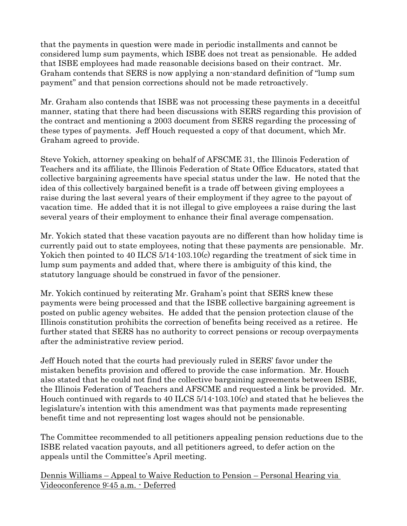that the payments in question were made in periodic installments and cannot be considered lump sum payments, which ISBE does not treat as pensionable. He added that ISBE employees had made reasonable decisions based on their contract. Mr. Graham contends that SERS is now applying a non-standard definition of "lump sum payment" and that pension corrections should not be made retroactively.

Mr. Graham also contends that ISBE was not processing these payments in a deceitful manner, stating that there had been discussions with SERS regarding this provision of the contract and mentioning a 2003 document from SERS regarding the processing of these types of payments. Jeff Houch requested a copy of that document, which Mr. Graham agreed to provide.

Steve Yokich, attorney speaking on behalf of AFSCME 31, the Illinois Federation of Teachers and its affiliate, the Illinois Federation of State Office Educators, stated that collective bargaining agreements have special status under the law. He noted that the idea of this collectively bargained benefit is a trade off between giving employees a raise during the last several years of their employment if they agree to the payout of vacation time. He added that it is not illegal to give employees a raise during the last several years of their employment to enhance their final average compensation.

Mr. Yokich stated that these vacation payouts are no different than how holiday time is currently paid out to state employees, noting that these payments are pensionable. Mr. Yokich then pointed to 40 ILCS 5/14-103.10(c) regarding the treatment of sick time in lump sum payments and added that, where there is ambiguity of this kind, the statutory language should be construed in favor of the pensioner.

Mr. Yokich continued by reiterating Mr. Graham's point that SERS knew these payments were being processed and that the ISBE collective bargaining agreement is posted on public agency websites. He added that the pension protection clause of the Illinois constitution prohibits the correction of benefits being received as a retiree. He further stated that SERS has no authority to correct pensions or recoup overpayments after the administrative review period.

Jeff Houch noted that the courts had previously ruled in SERS' favor under the mistaken benefits provision and offered to provide the case information. Mr. Houch also stated that he could not find the collective bargaining agreements between ISBE, the Illinois Federation of Teachers and AFSCME and requested a link be provided. Mr. Houch continued with regards to 40 ILCS 5/14-103.10(c) and stated that he believes the legislature's intention with this amendment was that payments made representing benefit time and not representing lost wages should not be pensionable.

The Committee recommended to all petitioners appealing pension reductions due to the ISBE related vacation payouts, and all petitioners agreed, to defer action on the appeals until the Committee's April meeting.

Dennis Williams – Appeal to Waive Reduction to Pension – Personal Hearing via Videoconference 9:45 a.m. - Deferred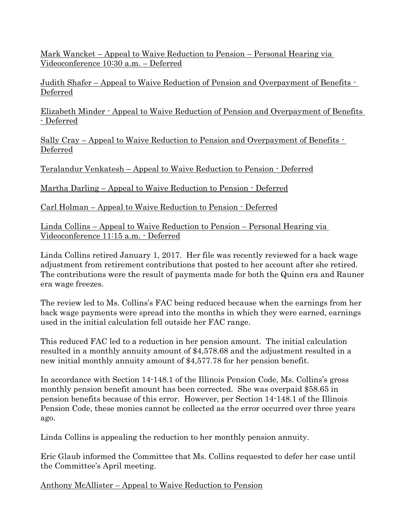Mark Wancket – Appeal to Waive Reduction to Pension – Personal Hearing via Videoconference 10:30 a.m. – Deferred

Judith Shafer – Appeal to Waive Reduction of Pension and Overpayment of Benefits - Deferred

Elizabeth Minder - Appeal to Waive Reduction of Pension and Overpayment of Benefits - Deferred

Sally Cray – Appeal to Waive Reduction to Pension and Overpayment of Benefits - Deferred

Teralandur Venkatesh – Appeal to Waive Reduction to Pension - Deferred

Martha Darling – Appeal to Waive Reduction to Pension - Deferred

Carl Holman – Appeal to Waive Reduction to Pension - Deferred

Linda Collins – Appeal to Waive Reduction to Pension – Personal Hearing via Videoconference 11:15 a.m. - Deferred

Linda Collins retired January 1, 2017. Her file was recently reviewed for a back wage adjustment from retirement contributions that posted to her account after she retired. The contributions were the result of payments made for both the Quinn era and Rauner era wage freezes.

The review led to Ms. Collins's FAC being reduced because when the earnings from her back wage payments were spread into the months in which they were earned, earnings used in the initial calculation fell outside her FAC range.

This reduced FAC led to a reduction in her pension amount. The initial calculation resulted in a monthly annuity amount of \$4,578.68 and the adjustment resulted in a new initial monthly annuity amount of \$4,577.78 for her pension benefit.

In accordance with Section 14-148.1 of the Illinois Pension Code, Ms. Collins's gross monthly pension benefit amount has been corrected. She was overpaid \$58.65 in pension benefits because of this error. However, per Section 14-148.1 of the Illinois Pension Code, these monies cannot be collected as the error occurred over three years ago.

Linda Collins is appealing the reduction to her monthly pension annuity.

Eric Glaub informed the Committee that Ms. Collins requested to defer her case until the Committee's April meeting.

Anthony McAllister – Appeal to Waive Reduction to Pension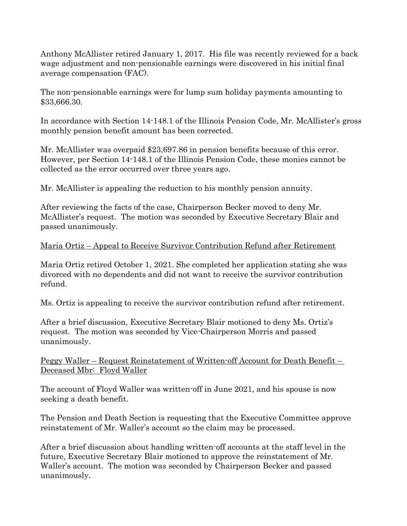Anthony McAllister retired January 1, 2017. His file was recently reviewed for a back wage adjustment and non-pensionable earnings were discovered in his initial final average compensation (FAC).

The non-pensionable earnings were for lump sum holiday payments amounting to \$33,666.30.

In accordance with Section 14-148.1 of the Illinois Pension Code, Mr. McAllister's gross monthly pension benefit amount has been corrected.

Mr. McAllister was overpaid \$23,697.86 in pension benefits because of this error. However, per Section 14-148.1 of the Illinois Pension Code, these monies cannot be collected as the error occurred over three years ago.

Mr. McAllister is appealing the reduction to his monthly pension annuity.

After reviewing the facts of the case, Chairperson Becker moved to deny Mr. McAllister's request. The motion was seconded by Executive Secretary Blair and passed unanimously.

#### Maria Ortiz – Appeal to Receive Survivor Contribution Refund after Retirement

Maria Ortiz retired October 1, 2021. She completed her application stating she was divorced with no dependents and did not want to receive the survivor contribution refund.

Ms. Ortiz is appealing to receive the survivor contribution refund after retirement.

After a brief discussion, Executive Secretary Blair motioned to deny Ms. Ortiz's request. The motion was seconded by Vice-Chairperson Morris and passed unanimously.

Peggy Waller – Request Reinstatement of Written-off Account for Death Benefit – Deceased Mbr: Floyd Waller

The account of Floyd Waller was written-off in June 2021, and his spouse is now seeking a death benefit.

The Pension and Death Section is requesting that the Executive Committee approve reinstatement of Mr. Waller's account so the claim may be processed.

After a brief discussion about handling written-off accounts at the staff level in the future, Executive Secretary Blair motioned to approve the reinstatement of Mr. Waller's account. The motion was seconded by Chairperson Becker and passed unanimously.